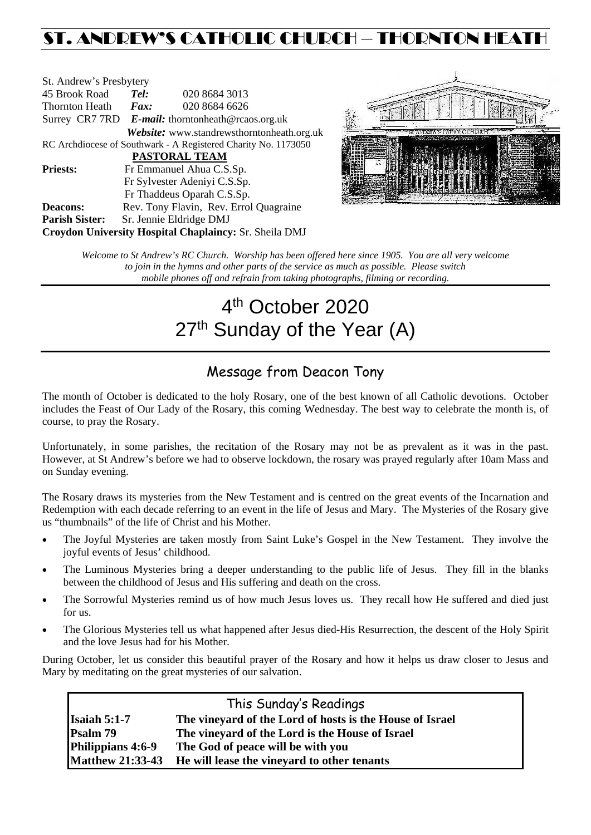## ST. ANDREW'S CATHOLIC CHURCH – THORNTON HEATH

| St. Andrew's Presbytery                                        |                                                      |                                            |  |  |  |
|----------------------------------------------------------------|------------------------------------------------------|--------------------------------------------|--|--|--|
| 45 Brook Road                                                  | Tel:<br>020 8684 3013                                |                                            |  |  |  |
| <b>Thornton Heath</b>                                          | $\boldsymbol{Fax:}$                                  | 020 8684 6626                              |  |  |  |
|                                                                | Surrey CR7 7RD $E$ -mail: thorntonheath@rcaos.org.uk |                                            |  |  |  |
|                                                                |                                                      | Website: www.standrewsthorntonheath.org.uk |  |  |  |
| RC Archdiocese of Southwark - A Registered Charity No. 1173050 |                                                      |                                            |  |  |  |
| <b>PASTORAL TEAM</b>                                           |                                                      |                                            |  |  |  |
| <b>Priests:</b>                                                | Fr Emmanuel Ahua C.S.Sp.                             |                                            |  |  |  |
|                                                                | Fr Sylvester Adeniyi C.S.Sp.                         |                                            |  |  |  |
|                                                                | Fr Thaddeus Oparah C.S.Sp.                           |                                            |  |  |  |
| <b>Deacons:</b>                                                |                                                      | Rev. Tony Flavin, Rev. Errol Quagraine     |  |  |  |
| <b>Parish Sister:</b>                                          | Sr. Jennie Eldridge DMJ                              |                                            |  |  |  |
| <b>Croydon University Hospital Chaplaincy: Sr. Sheila DMJ</b>  |                                                      |                                            |  |  |  |



*Welcome to St Andrew's RC Church. Worship has been offered here since 1905. You are all very welcome to join in the hymns and other parts of the service as much as possible. Please switch mobile phones off and refrain from taking photographs, filming or recording.*

# 4th October 2020 27<sup>th</sup> Sunday of the Year (A)

## Message from Deacon Tony

The month of October is dedicated to the holy Rosary, one of the best known of all Catholic devotions. October includes the Feast of Our Lady of the Rosary, this coming Wednesday. The best way to celebrate the month is, of course, to pray the Rosary.

Unfortunately, in some parishes, the recitation of the Rosary may not be as prevalent as it was in the past. However, at St Andrew's before we had to observe lockdown, the rosary was prayed regularly after 10am Mass and on Sunday evening.

The Rosary draws its mysteries from the New Testament and is centred on the great events of the Incarnation and Redemption with each decade referring to an event in the life of Jesus and Mary. The Mysteries of the Rosary give us "thumbnails" of the life of Christ and his Mother.

- The Joyful Mysteries are taken mostly from Saint Luke's Gospel in the New Testament. They involve the joyful events of Jesus' childhood.
- The Luminous Mysteries bring a deeper understanding to the public life of Jesus. They fill in the blanks between the childhood of Jesus and His suffering and death on the cross.
- The Sorrowful Mysteries remind us of how much Jesus loves us. They recall how He suffered and died just for us.
- The Glorious Mysteries tell us what happened after Jesus died-His Resurrection, the descent of the Holy Spirit and the love Jesus had for his Mother.

During October, let us consider this beautiful prayer of the Rosary and how it helps us draw closer to Jesus and Mary by meditating on the great mysteries of our salvation.

| This Sunday's Readings |                                                              |  |  |  |
|------------------------|--------------------------------------------------------------|--|--|--|
| Isaiah $5:1-7$         | The vineyard of the Lord of hosts is the House of Israel     |  |  |  |
| Psalm 79               | The vineyard of the Lord is the House of Israel              |  |  |  |
| Philippians 4:6-9      | The God of peace will be with you                            |  |  |  |
|                        | Matthew 21:33-43 He will lease the vineyard to other tenants |  |  |  |